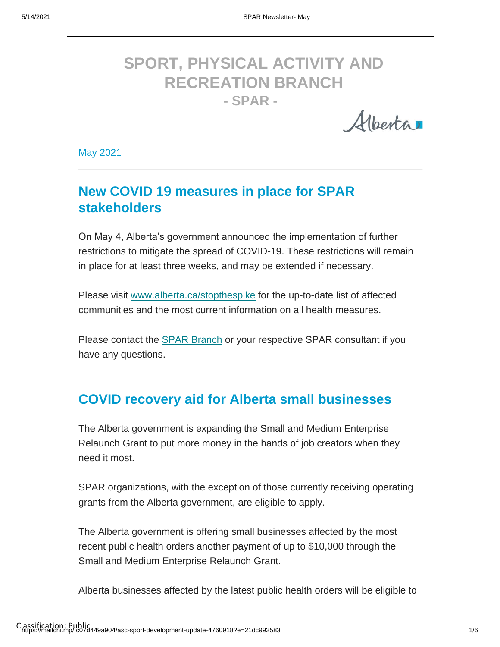# **SPORT, PHYSICAL ACTIVITY AND RECREATION BRANCH - SPAR -**

Albertar

May 2021

## **New COVID 19 measures in place for SPAR stakeholders**

On May 4, Alberta's government announced the implementation of further restrictions to mitigate the spread of COVID-19. These restrictions will remain in place for at least three weeks, and may be extended if necessary.

Please visit [www.alberta.ca/stopthespike](http://www.alberta.ca/stopthespike) for the up-to-date list of affected communities and the most current information on all health measures.

Please contact the **SPAR Branch** or your respective SPAR consultant if you have any questions.

#### **COVID recovery aid for Alberta small businesses**

The Alberta government is expanding the Small and Medium Enterprise Relaunch Grant to put more money in the hands of job creators when they need it most.

SPAR organizations, with the exception of those currently receiving operating grants from the Alberta government, are eligible to apply.

The Alberta government is offering small businesses affected by the most recent public health orders another payment of up to \$10,000 through the Small and Medium Enterprise Relaunch Grant.

Alberta businesses affected by the latest public health orders will be eligible to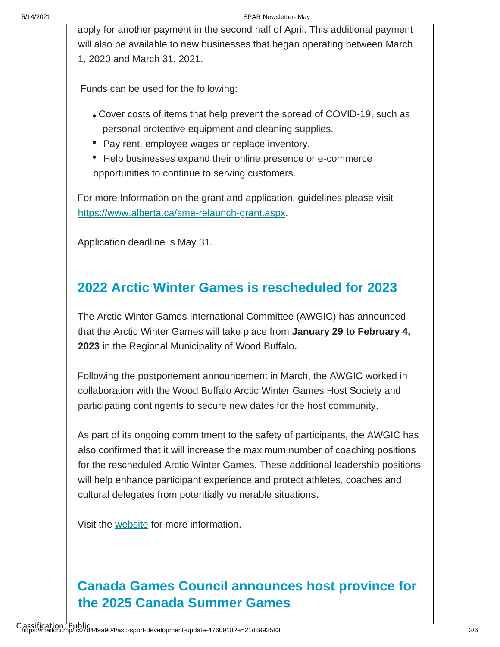#### 5/14/2021 SPAR Newsletter- May

apply for another payment in the second half of April. This additional payment will also be available to new businesses that began operating between March 1, 2020 and March 31, 2021.

Funds can be used for the following:

- Cover costs of items that help prevent the spread of COVID-19, such as personal protective equipment and cleaning supplies.
- Pay rent, employee wages or replace inventory.
- Help businesses expand their online presence or e-commerce opportunities to continue to serving customers.

For more Information on the grant and application, guidelines please visit [https://www.alberta.ca/sme-relaunch-grant.aspx.](https://www.alberta.ca/sme-relaunch-grant.aspx) 

Application deadline is May 31.

## **2022 Arctic Winter Games is rescheduled for 2023**

The Arctic Winter Games International Committee (AWGIC) has announced that the Arctic Winter Games will take place from **January 29 to February 4, 2023** in the Regional Municipality of Wood Buffalo**.** 

Following the postponement announcement in March, the AWGIC worked in collaboration with the Wood Buffalo Arctic Winter Games Host Society and participating contingents to secure new dates for the host community.

As part of its ongoing commitment to the safety of participants, the AWGIC has also confirmed that it will increase the maximum number of coaching positions for the rescheduled Arctic Winter Games. These additional leadership positions will help enhance participant experience and protect athletes, coaches and cultural delegates from potentially vulnerable situations.

Visit the [website](https://awg2023.org/) for more information.

# **Canada Games Council announces host province for the 2025 Canada Summer Games**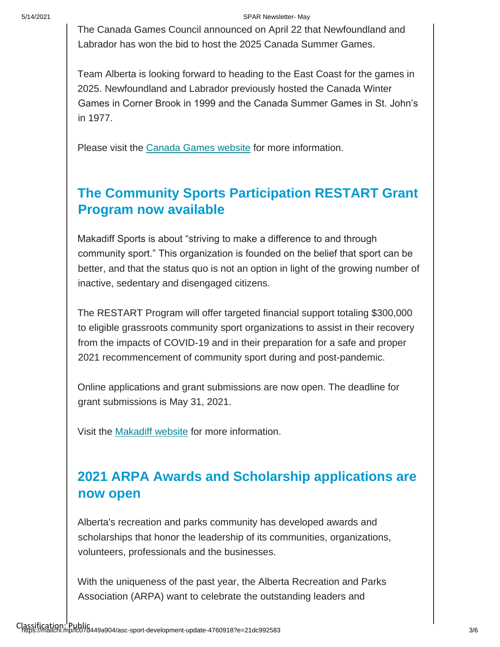#### 5/14/2021 SPAR Newsletter- May

The Canada Games Council announced on April 22 that Newfoundland and Labrador has won the bid to host the 2025 Canada Summer Games.

Team Alberta is looking forward to heading to the East Coast for the games in 2025. Newfoundland and Labrador previously hosted the Canada Winter Games in Corner Brook in 1999 and the Canada Summer Games in St. John's in 1977.

Please visit the [Canada Games website](https://can01.safelinks.protection.outlook.com/?url=https%3A%2F%2Fwww.canadagames.ca%2Fstories%2Fst-johns-nl-named-host-of-the-2025-canada-summer-games&data=04%7C01%7Csheri.wilson%40gov.ab.ca%7C09dc8267f0e34eb6ddbc08d905d4b595%7C2bb51c06af9b42c58bf53c3b7b10850b%7C0%7C0%7C637547233412993862%7CUnknown%7CTWFpbGZsb3d8eyJWIjoiMC4wLjAwMDAiLCJQIjoiV2luMzIiLCJBTiI6Ik1haWwiLCJXVCI6Mn0%3D%7C1000&sdata=EN5qZ%2B5zBfUbJN%2Bug6YK6sIoO01Vl3h2nDIesM4Cvrc%3D&reserved=0) [f](https://can01.safelinks.protection.outlook.com/?url=https%3A%2F%2Fwww.canadagames.ca%2Fstories%2Fst-johns-nl-named-host-of-the-2025-canada-summer-games&data=04%7C01%7Csheri.wilson%40gov.ab.ca%7C09dc8267f0e34eb6ddbc08d905d4b595%7C2bb51c06af9b42c58bf53c3b7b10850b%7C0%7C0%7C637547233412993862%7CUnknown%7CTWFpbGZsb3d8eyJWIjoiMC4wLjAwMDAiLCJQIjoiV2luMzIiLCJBTiI6Ik1haWwiLCJXVCI6Mn0%3D%7C1000&sdata=EN5qZ%2B5zBfUbJN%2Bug6YK6sIoO01Vl3h2nDIesM4Cvrc%3D&reserved=0)or more information.

## **The Community Sports Participation RESTART Grant Program now available**

Makadiff Sports is about "striving to make a difference to and through community sport." This organization is founded on the belief that sport can be better, and that the status quo is not an option in light of the growing number of inactive, sedentary and disengaged citizens.

The RESTART Program will offer targeted financial support totaling \$300,000 to eligible grassroots community sport organizations to assist in their recovery from the impacts of COVID-19 and in their preparation for a safe and proper 2021 recommencement of community sport during and post-pandemic.

Online applications and grant submissions are now open. The deadline for grant submissions is May 31, 2021.

Visit the [Makadiff website](http://www.makadiffsports.org/) for more information.

## **2021 ARPA Awards and Scholarship applications are now open**

Alberta's recreation and parks community has developed awards and scholarships that honor the leadership of its communities, organizations, volunteers, professionals and the businesses.

With the uniqueness of the past year, the Alberta Recreation and Parks Association (ARPA) want to celebrate the outstanding leaders and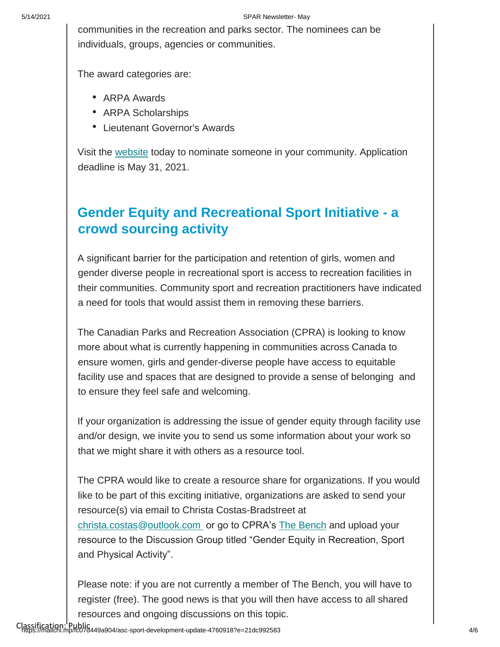communities in the recreation and parks sector. The nominees can be individuals, groups, agencies or communities.

The award categories are:

- ARPA Awards
- ARPA Scholarships
- Lieutenant Governor's Awards

Visit the [website](https://arpaonline.ca/awards/main.) today to nominate someone in your community. Application deadline is May 31, 2021.

#### **Gender Equity and Recreational Sport Initiative - a crowd sourcing activity**

A significant barrier for the participation and retention of girls, women and gender diverse people in recreational sport is access to recreation facilities in their communities. Community sport and recreation practitioners have indicated a need for tools that would assist them in removing these barriers.

The Canadian Parks and Recreation Association (CPRA) is looking to know more about what is currently happening in communities across Canada to ensure women, girls and gender-diverse people have access to equitable facility use and spaces that are designed to provide a sense of belonging and to ensure they feel safe and welcoming.

If your organization is addressing the issue of gender equity through facility use and/or design, we invite you to send us some information about your work so that we might share it with others as a resource tool.

The CPRA would like to create a resource share for organizations. If you would like to be part of this exciting initiative, organizations are asked to send your resource(s) via email to Christa Costas-Bradstreet at christa.costas@outlook.com or go to CPRA's [The Bench](https://thebenchcpra.ca/index.html) and upload your resource to the Discussion Group titled "Gender Equity in Recreation, Sport and Physical Activity".

Please note: if you are not currently a member of The Bench, you will have to register (free). The good news is that you will then have access to all shared resources and ongoing discussions on this topic.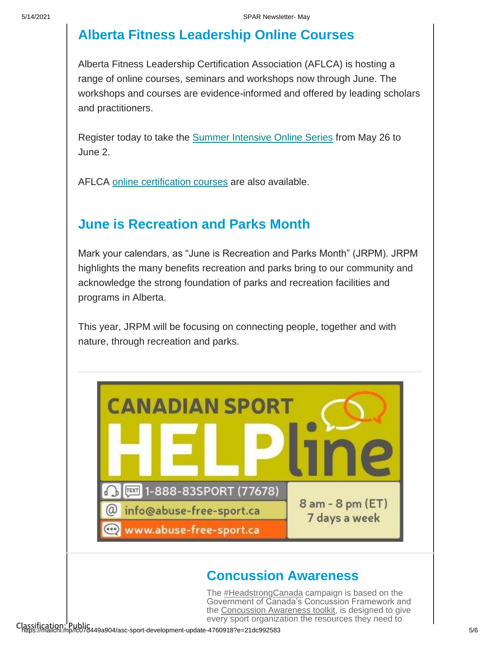## **Alberta Fitness Leadership Online Courses**

Alberta Fitness Leadership Certification Association (AFLCA) is hosting a range of online courses, seminars and workshops now through June. The workshops and courses are evidence-informed and offered by leading scholars and practitioners.

Register today to take the [Summer Intensive Online Series](https://can01.safelinks.protection.outlook.com/?url=https%3A%2F%2Fmarketplace.ualberta.ca%2Fpfu%2Fprofessional-development%2Fonline-courses.html&data=04%7C01%7Csheri.wilson%40gov.ab.ca%7Ced51c581e89442b56f2308d90bf39b09%7C2bb51c06af9b42c58bf53c3b7b10850b%7C0%7C0%7C637553963163892760%7CUnknown%7CTWFpbGZsb3d8eyJWIjoiMC4wLjAwMDAiLCJQIjoiV2luMzIiLCJBTiI6Ik1haWwiLCJXVCI6Mn0%3D%7C1000&sdata=7%2B%2BB%2Bxt%2FPakj7X0k30car6QzzzBo3y%2B38wLs5%2FHewbY%3D&reserved=0) from May 26 to June 2.

AFLCA [online certification courses](https://can01.safelinks.protection.outlook.com/?url=https%3A%2F%2Fmarketplace.ualberta.ca%2Fpfu%2Fprofessional-development%2Faflca-certification-courses.html&data=04%7C01%7Csheri.wilson%40gov.ab.ca%7Ced51c581e89442b56f2308d90bf39b09%7C2bb51c06af9b42c58bf53c3b7b10850b%7C0%7C0%7C637553963163902717%7CUnknown%7CTWFpbGZsb3d8eyJWIjoiMC4wLjAwMDAiLCJQIjoiV2luMzIiLCJBTiI6Ik1haWwiLCJXVCI6Mn0%3D%7C1000&sdata=m8x8PDj%2BXHeLGLxuNRUtH0XwCVm9Wp5AIeEdKwXHmA4%3D&reserved=0) [a](https://can01.safelinks.protection.outlook.com/?url=https%3A%2F%2Fmarketplace.ualberta.ca%2Fpfu%2Fprofessional-development%2Faflca-certification-courses.html&data=04%7C01%7Csheri.wilson%40gov.ab.ca%7Ced51c581e89442b56f2308d90bf39b09%7C2bb51c06af9b42c58bf53c3b7b10850b%7C0%7C0%7C637553963163902717%7CUnknown%7CTWFpbGZsb3d8eyJWIjoiMC4wLjAwMDAiLCJQIjoiV2luMzIiLCJBTiI6Ik1haWwiLCJXVCI6Mn0%3D%7C1000&sdata=m8x8PDj%2BXHeLGLxuNRUtH0XwCVm9Wp5AIeEdKwXHmA4%3D&reserved=0)re also available.

#### **June is Recreation and Parks Month**

Mark your calendars, as "June is Recreation and Parks Month" (JRPM). JRPM highlights the many benefits recreation and parks bring to our community and acknowledge the strong foundation of parks and recreation facilities and programs in Alberta.

This year, JRPM will be focusing on connecting people, together and with nature, through recreation and parks.



#### **Concussion Awareness**

The **#HeadstrongCanada** campaign is based on the Government of Canada'[s C](https://twitter.com/hashtag/headstrongcanada)oncussion Framework and the [Concussion Awareness toolkit,](https://sirc.ca/concussion) is designed to give every sport organization the reso[urc](https://sirc.ca/concussion)es they need to